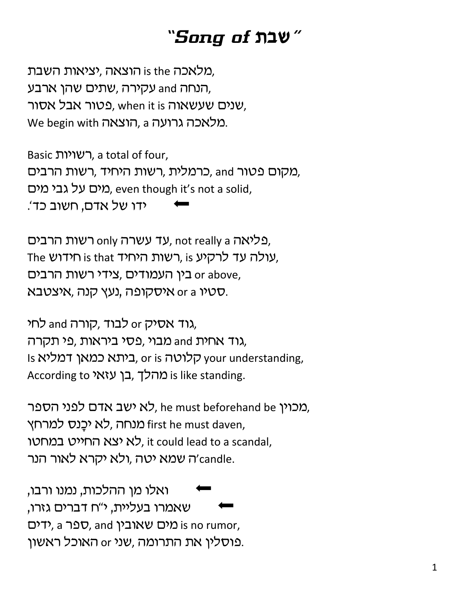## *"Song of* **,ca***"*

מלאכה is the הוצאה, יציאות השבת, הנחה and עקירה ,שתים שהן ארבע, שנים שעשאוה when it is שעשאוה. We begin with הוצאה, a הוצאכה גרועה.

Basic רשויות, a total of four, מקום פטור and ,כרמלית ,רשות היחיד ,רשות הרבים, מים על גבי מים, even though it's not a solid, ידו של אדם, חשוב כד׳.

פליאה only רשות הרבים, not really a פליאה, The שולה עד לרקיע, is רשות היחיד, is וחידוש, כין העמודים, צידי רשות הרבים or above, סטיו or a איסקופה ,נעץ קנה, איצטבא.

גוד אסיק and לבוד, קורה, גוד אחית and מבוי ,פסי ביראות ,פי תקרה, Is היתא כמאן דמליא, or is כאר your understanding, According to בן עזאי is like standing.

מכוין he must beforehand be לא ישב אדם לפני הספר, מנחה ,לא יכֲנס למרחץ. first he must daven, לא יצא החייט במחטו, it could lead to a scandal, ה שמא יטה ,ולא יקרא לאור הנר' candle.

'ואלו מן ההלכות, נמנו ורבו, שאמרו בעליית, י"ח דברים גזרו, כר is no rumor, כאובין a rpy, and is no rumor, פוסלין את התרומה ,שני or האוכל ראשון.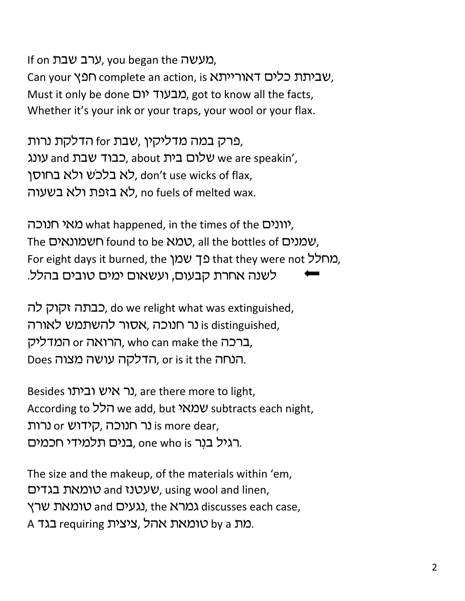If on ערב שבת, you began the מעשה. Can your שביתת כלים דאורייתא, is שביתת כלים דאוריית. Must it only be done מבעוד יום, got to know all the facts, Whether it's your ink or your traps, your wool or your flax.

,פרק במה מדליקין ,שבת for הדלקת נרות עונג we are speakin', כבוד שבת and עונג, about שלום בית לא בלכש ולא בחוסן, don't use wicks of flax, לא בזפת ולא בשעוה, no fuels of melted wax.

וונים what happened, in the times of the יוונים), The שמנים, found to be למא, all the bottles of שמנים, For eight days it burned, the מחלל that they were not בך שמן לשנה אחרת קבעום, ועשאום ימים טובים בהלל.

כבתה זקוק לה, do we relight what was extinguished, is distinguished, נר חנוכה, אסור להשתמש לאורה ברכה who can make the המדליק, who can make the המדליק, Does הנחה, or is it the הדלקה עושה מצוה.

Besides נר איש וביתו, are there more to light, According to הלל we add, but **שמאי** subtracts each night, נר חנוכה, קידוש or נרות is more dear, בנים תלמידי חכמים. one who is רגיל בנר.

The size and the makeup, of the materials within 'em, שעטנז and טומאת בגדים, using wool and linen, געים and טומאת שרץ. the גמרא discusses each case, A כאת requiring ,ציצית by a בגד.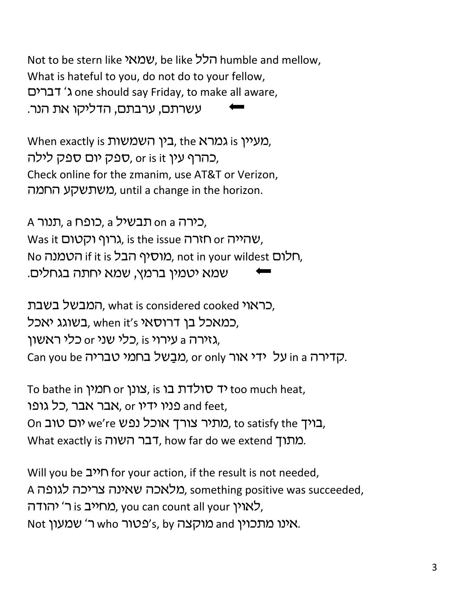Not to be stern like ועמאי, be like הלל, humble and mellow, What is hateful to you, do not do to your fellow, ohrcs ‡d one should say Friday, to make all aware, עשרתם, ערבתם, הדליקו את הנר.

When exactly is בין השמשות the נמרא, the בארא, כהרף עין or is it ,ספק יום ספק לילה, Check online for the zmanim, use AT&T or Verizon, משתשקע החמה, until a change in the horizon.

A כירה on a תבשיל a כופח, a בירה, Was it גרוף וקטום, is the issue תזרה, No הטמנה, if it is כמוסיף הבל, not in your wildest האלום, שמא יטמין ברמץ, שמא יחתה בגחלים.

, כראוי ,what is considered cooked המבשל בשבת במאכל בן דרוסאי when it's בשוגג יאכל, גזירה a עירוי is כלי שני or גלירה, Can you be כדירה in a על ידי אור or only מבשל בחמי טבריה.

To bathe in יד סולדת בו is נצונן, is דלדת כו too much heat, עבר אבר, כל גופו end feet, On כויך סוב cus cus מתיר צורך אוכל נפש, to satisfy the כוב, What exactly is תתוך. how far do we extend  $\Omega$ .

Will you be  $\mathbf{I}^{\mathbf{M}}$  for your action, if the result is not needed, A מלאכה שאינה צריכה לגופה. something positive was succeeded, לאוין is לאוין, you can count all your לאוין, Not ויענו מתכוין and מוקצה s cy'e cy's, by אינו מתכוין.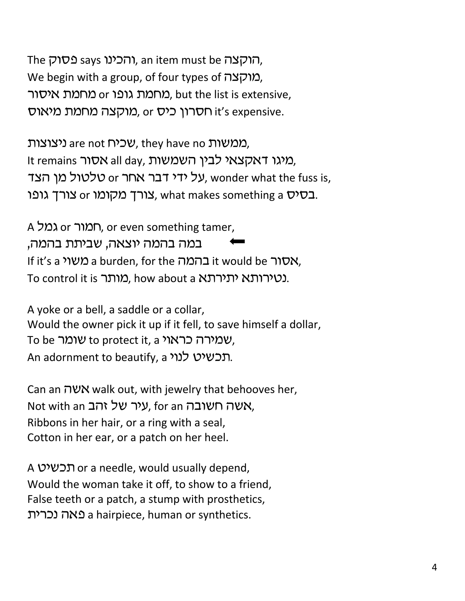The הוקצה, an item must be הוקצה, We begin with a group, of four types of מוקצה), מחמת ארסור, but the list is extensive, מוקצה מחמת מיאוס, or כ*ור*קצה it's expensive.

ממשות are not  $U$ כיח, they have no ממשות, It remains סיגו דאקצאי לבין השמשות, ומיגו השמש על ידי דבר אחר or על ידי דבר, wonder what the fuss is, בסיס or בערך מקומו. what makes something a באים.

A המור or רומור, or even something tamer, במה בהמה יוצאה, שביתת בהמה, If it's a משור a burden, for the המה it would be אסור To control it is נטירותא יתירתא a to control it is,

A yoke or a bell, a saddle or a collar, Would the owner pick it up if it fell, to save himself a dollar, To be שמירה כראוי to protect it, a שמירה כראוי An adornment to beautify, a תכשיט לנוי.

Can an  $\forall x$  walk out, with jewelry that behooves her, Not with an עיר של זהב, for an עאה חשובה, Ribbons in her hair, or a ring with a seal, Cotton in her ear, or a patch on her heel.

A yhaf, or a needle, would usually depend, Would the woman take it off, to show to a friend, False teeth or a patch, a stump with prosthetics, ,hrfb vtp a hairpiece, human or synthetics.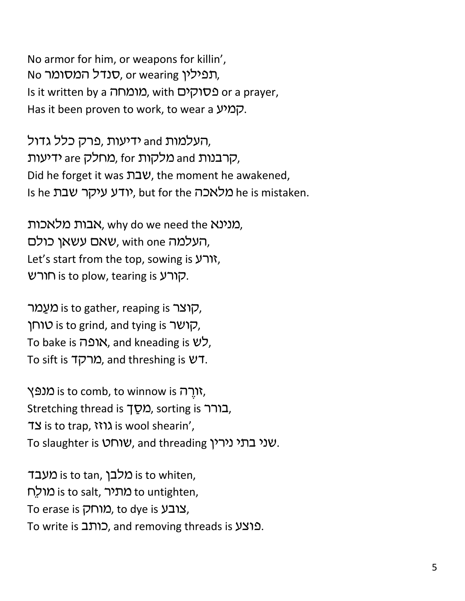No armor for him, or weapons for killin', No תפילין, or wearing וחמילין, Is it written by a מומחה, with or a prayer, Has it been proven to work, to wear a קמיע.

העלמות and ידיעות ,פרק כלל גדול, ,קרבנות and מלקות for ,מחלק are ידיעות Did he forget it was שבת, the moment he awakened, Is he וכלאכה but for the יודע עיקר שבת be is mistaken.

מנינא ,why do we need the מנינא העלמה with one שאם עשאן כולם, Let's start from the top, sowing is  $Y\rightarrow$ קורע is to plow, tearing is קורע.

קוצר is to gather, reaping is קוצר, קושר is to grind, and tying is יוחן, To bake is ר $\aleph$ ו. and kneading is  $\aleph$ , To sift is תורקד. and threshing is  $127$ .

ירה is to comb, to winnow is מנפּץ, Stretching thread is בורר stretching thread is בורר, IS is to trap,  $W\lambda$  is wool shearin', To slaughter is **שורט**, and threading *yut*.

ו מלבך is to tan, מלבך is to whiten, h מתיר is to salt, מתיר to untighten, To erase is בובע, to dye is צובע, To write is כותב, and removing threads is פוצע.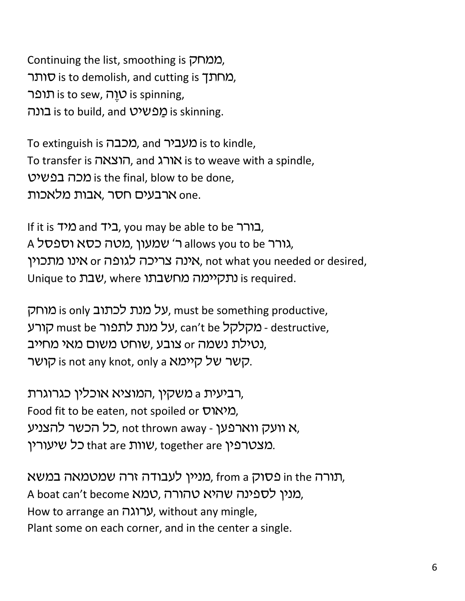Continuing the list, smoothing is הממחק מחתך is to demolish, and cutting is סותר. rpu, is to sew, עֻוֹה is spinning, Eונה is to build, and <u>מ</u>פשיט is skinning.

To extinguish is *מכבה*, and מעביר, is to kindle, To transfer is הוצאה, and הוצאה is to weave with a spindle, ומכה בפשיט is the final, blow to be done, ארבעים חסר ,אבות מלאכות one.

If it is בורר and כיד, you may be able to be בורר. A גורר allows you to be גורר, מטה כסא וספסל, אינה צריכה לגופה or אינו מתכוין, not what you needed or desired, Unique to עבת, where נתקיימה מחשבתו, whique to unique to

על מנת לכתוב is only על מנת אום, must be something productive, grue ומקלקל can't be כמקלקל, can't be במקלקל, can't be הורע נטילת נשמה or צובע, שוחט משום מאי מחייב. קשר של קיימא is not any knot, only a קושר.

רביעית a משקין ,המוציא אוכלין כגרוגרת, Food fit to be eaten, not spoiled or חמיאוס, כל הכשר להצניע, not thrown away - א וועק ווארפען, מצטרפין that are שוות that are כל שיעורין.

תורה in the פסוק from a מניין לעבודה זרה שמטמאה במשא, A boat can't become ומנין לספינה שהיא טהורה, How to arrange an UCKG, without any mingle, Plant some on each corner, and in the center a single.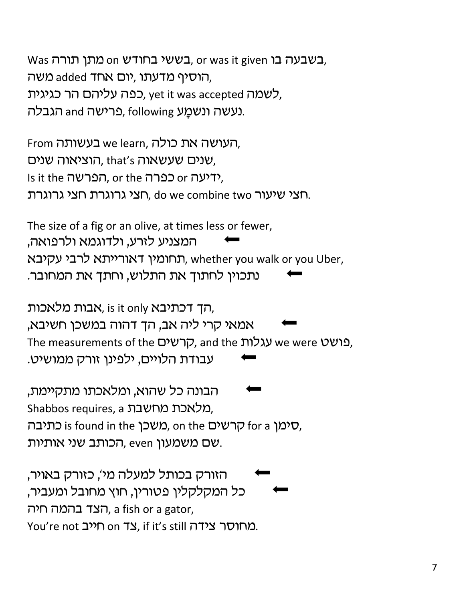Was בשבעה בו, or was it given בשעה בו, or was הוסיף מדעתו, יום אחד added משה, לשמה yet it was accepted כפה עליהם הר כגיגית, נעשה ונשמֲע following פרישה and הגבלה.

From בעשותה, we learn, העושה את כולה, שנים שעשאוה that's הוציאוה שנים, Is it the הפרשה, or the Germ or he it the in חצי שיעור do we combine two חצי גרוגרת.

The size of a fig or an olive, at times less or fewer, המצניע לזרע, ולדוגמא ולרפואה, תחומין דאורייתא לרבי עקיבא, whether you walk or you Uber, נתכוין לחתוך את התלוש, וחתך את המחובר.

הך דכתיבא sit only, הרך דכתיבא, is it only אמאי קרי ליה אב, הך דהוה במשכן חשיבא, The measurements of the קרשים, and the עגלות, we were y עבודת הלויים, ילפינו זורק ממושיט.

הבונה כל שהוא, ומלאכתו מתקיימת, Shabbos requires, a מלאכת מחשבת כתיבה, is found in the כאשכן, on the סרשים, for a  $\sigma$ , שם משמעון even, הכותב שני אותיות.

הזורק בכותל למעלה מי', כזורק באויר, 'כל המקלקלין פטורין, חוץ מחובל ומעביר הצד בהמה חיה, a fish or a gator, You're not מחוסר צידה if it's still כמחוסר צידה.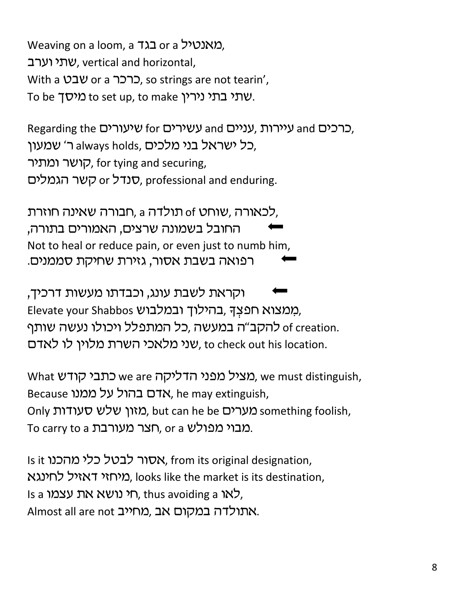Weaving on a loom, a בגד or a khybtch ומאנטיל. שתי וערב, vertical and horizontal, With a שבט, so strings are not tearin', To be שתי בתי נירין. to set up, to make שתי

Regarding the שיעורים for ברכים and for ועירות, עניים, כל ישראל בני מלכים ,always holds ר' שמעון, קושר ומתיר, for tying and securing, סנדל or השר הגמלים, professional and enduring.

לכאורה ,שוחט of תולדה a ,תבורה שאינה חוזרת, החובל בשמונה שרצים, האמורים בתורה, Not to heal or reduce pain, or even just to numb him, רפואה בשבת אסור, גזירת שחיקת סממנים.

וקראת לשבת עונג, וכבדתו מעשות דרכיך, Elevate your Shabbos בהילוך ובמלבוש, ;of creation. להקב"ה במעשה ,כל המתפלל ויכולו נעשה שותף שני מלאכי השרת מלוין לו לאדם, to check out his location.

What שמציל מפני הדליקה we are כתבי קודש, we must distinguish, Because ואדם בהול על ממנו, he may extinguish, Only כמזון שלש סעודות but can he be מערים. but can he be ohly something foolish, To carry to a ראבר מפולש, or a האבוי מפולש,

Is it וs it **מהכנו, from its original designation**, מיחזי דאזיל לחינגא, looks like the market is its destination, Is a לאו ה, thus avoiding a לאו, thus avoiding , Almost all are not מחייב, מאתולדה במקום אב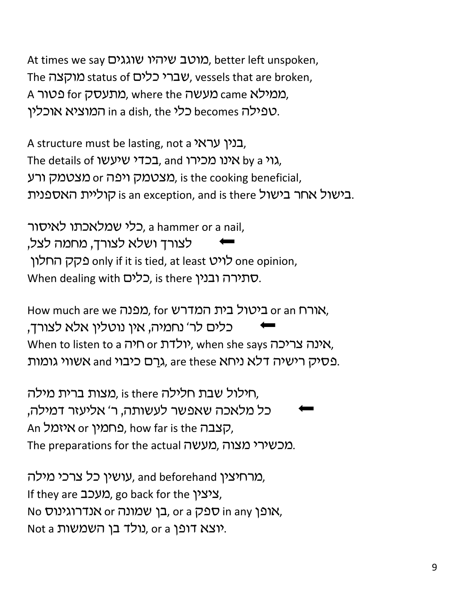At times we say מוטב שיהיו שוגגים, better left unspoken, The מוקצה status of שברי כלים, vessels that are broken, A ממילא came מעשה where the ממילא טפילה becomes כלי in a dish, the המוציא אוכלין.

A structure must be lasting, not a בנין עראי. The details of שינו מכירו, and גוי by a אינו מכירו, מצטמק ויפה or מצטמק, is the cooking beneficial, בישול אחר בישול is an exception, and is there בישול אחר בישול.

כלי שמלאכתו לאיסור, a hammer or a nail, לצורך ושלא לצורך, מחמה לצל, one opinion, לויט only if it is tied, at least לויט When dealing with Cלים, is there ובנין, is there when dealing

How much are we ביטול בית המדרש, for מפנה, or an h כלים לר' נחמיה, אין נוטלין אלא לצורך, When to listen to a יולדת or יולדת, when she says האינה צריכה, פסיק רישיה דלא ניחא and גרם כיבוי and בעסיק רישיה.

חילול שבת חלילה is there ,מצות ברית מילה, 'כל מלאכה שאפשר לעשותה, ר' אליעזר דמילה An איזמל, how far is the הצבה, The preparations for the actual מכשירי מצוה.

מרחיצין and beforehand עושין כל צרכי מילה, If they are 20 מעכב, go back for the ithe it No אופן in any ספק, or a בן שמונה or אנדרוגינוס, Not a יוצא דופן. or a נולד בן השמשות.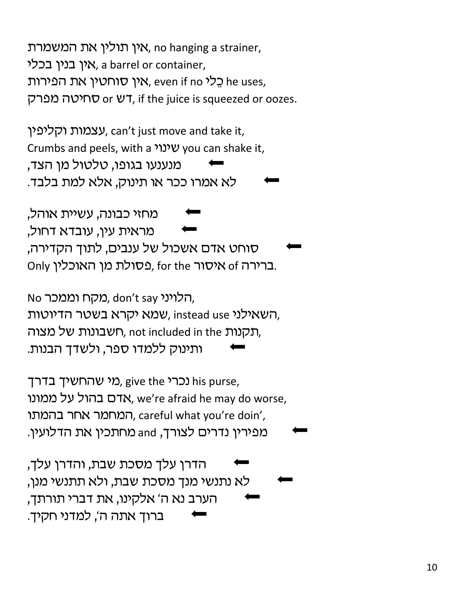אין תולין את המשמרת, no hanging a strainer, אין בנין בכלי, a barrel or container, אין סוחטין את הפירות, even if no בלי, he uses, דש or עחיטה מפרק, if the juice is squeezed or oozes.

עצמות וקליפין, can't just move and take it, Crumbs and peels, with a שינוי you can shake it, מנענעו בגופו, טלטול מן הצד, לא אמרו ככר או תינוק, אלא למת בלבד.

מחזי כבונה, עשיית אוהל, מראית עין, עובדא דחול, סוחט אדם אשכול של ענבים, לתוך הקדירה, Only ברירה of איסור, for the פסולת מן האוכלין.

No הלויני, don't say כוקח וממכר, שמא יקרא בשטר הדיוטות, instead use השאילני, תקנות not included in the חשבונות של מצוה, ותינוק ללמדו ספר, ולשדך הבנות.

מי שהחשיך בדרך give the מי שהחשיך (בדרך his purse, אדם בהול על ממונו, we're afraid he may do worse, המחמר אחר בהמתו, careful what you're doin', מפירין נדרים לצורך, and מחתכין את הדלועין.

הדרן עלך מסכת שבת, והדרן עלך, לא נתנשי מנך מסכת שבת, ולא תתנשי מנן, הערב נא ה' אלקינו, את דברי תורתך, ברוך אתה ה', למדני חקיך.